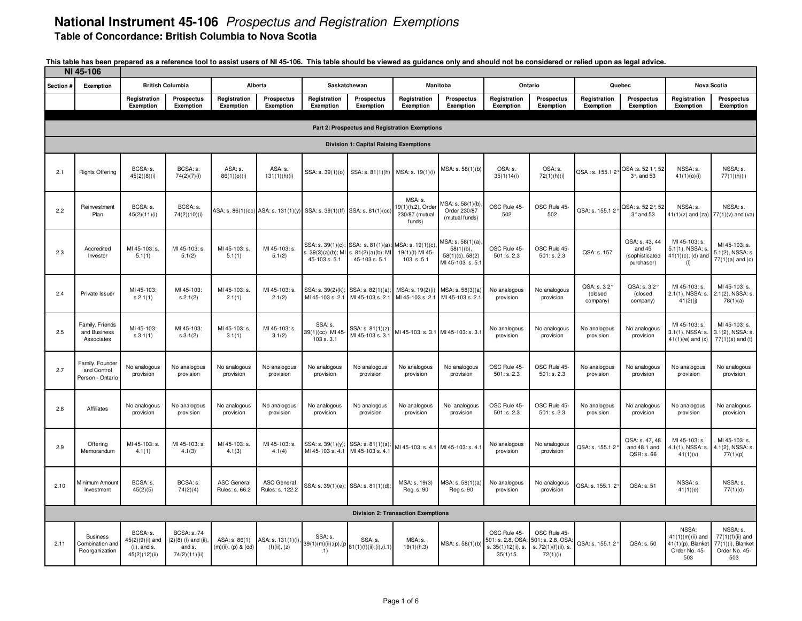| NI 45-106 |                                                      |                                                                 |                                                                         |                                             |                                       |                                                                         |                                                                                                                     |                                                          |                                                                             |                                                                                     |                                                 |                                    |                                                          |                                                                          |                                                                             |
|-----------|------------------------------------------------------|-----------------------------------------------------------------|-------------------------------------------------------------------------|---------------------------------------------|---------------------------------------|-------------------------------------------------------------------------|---------------------------------------------------------------------------------------------------------------------|----------------------------------------------------------|-----------------------------------------------------------------------------|-------------------------------------------------------------------------------------|-------------------------------------------------|------------------------------------|----------------------------------------------------------|--------------------------------------------------------------------------|-----------------------------------------------------------------------------|
| Section # | Exemption                                            |                                                                 | <b>British Columbia</b>                                                 |                                             | Alberta                               |                                                                         | Saskatchewan                                                                                                        |                                                          | Manitoba                                                                    |                                                                                     | Ontario                                         |                                    | Quebec                                                   |                                                                          | Nova Scotia                                                                 |
|           |                                                      | Registration<br>Exemption                                       | Prospectus<br><b>Exemption</b>                                          | Registration<br>Exemption                   | <b>Prospectus</b><br>Exemption        | Registration<br>Exemption                                               | Prospectus<br>Exemption                                                                                             | Registration<br>Exemption                                | <b>Prospectus</b><br>Exemption                                              | Registration<br>Exemption                                                           | Prospectus<br>Exemption                         | Registration<br>Exemption          | <b>Prospectus</b><br>Exemption                           | Registration<br>Exemption                                                | <b>Prospectus</b><br>Exemption                                              |
|           |                                                      |                                                                 |                                                                         |                                             |                                       |                                                                         | Part 2: Prospectus and Registration Exemptions                                                                      |                                                          |                                                                             |                                                                                     |                                                 |                                    |                                                          |                                                                          |                                                                             |
|           |                                                      |                                                                 |                                                                         |                                             |                                       |                                                                         | <b>Division 1: Capital Raising Exemptions</b>                                                                       |                                                          |                                                                             |                                                                                     |                                                 |                                    |                                                          |                                                                          |                                                                             |
| 2.1       | <b>Rights Offering</b>                               | BCSA: s.<br>45(2)(8)(i)                                         | BCSA: s.<br>74(2)(7)(i)                                                 | ASA: s.<br>86(1)(o)(i)                      | ASA: s.<br>131(1)(h)(i)               |                                                                         | SSA: s. 39(1)(0) SSA: s. 81(1)(h)                                                                                   | MSA: s. 19(1)(i)                                         | MSA: s. 58(1)(b)                                                            | OSA: s.<br>35(1)14(i)                                                               | OSA: s.<br>72(1)(h)(i)                          | QSA: s. 155.12°                    | QSA:s. 52 1°, 52<br>3°, and 53                           | NSSA: s.<br>41(1)(0)(i)                                                  | NSSA: s.<br>77(1)(h)(i)                                                     |
| 2.2       | Reinvestment<br>Plan                                 | BCSA: s.<br>45(2)(11)(i)                                        | BCSA: s.<br>74(2)(10)(i)                                                |                                             |                                       | ASA: s. 86(1)(cc) ASA: s. 131(1)(y) SSA: s. 39(1)(ff) SSA: s. 81(1)(cc) |                                                                                                                     | MSA: s.<br>19(1)(h.2), Order<br>230/87 (mutual<br>funds) | MSA: s. 58(1)(b)<br>Order 230/87<br>(mutual funds)                          | OSC Rule 45-<br>502                                                                 | OSC Rule 45-<br>502                             | QSA: s. 155.12°                    | QSA: s. 52 2°, 52<br>$3°$ and 53                         | NSSA: s.<br>$41(1)(z)$ and $(za)$                                        | NSSA: s.<br>$77(1)(v)$ and (va)                                             |
| 2.3       | Accredited<br>Investor                               | MI 45-103: s.<br>5.1(1)                                         | MI 45-103: s.<br>5.1(2)                                                 | MI 45-103: s.<br>5.1(1)                     | MI 45-103: s.<br>5.1(2)               | 45-103 s. 5.1                                                           | SSA: s. 39(1)(c); SSA: s. 81(1)(a); MSA: s. 19(1)(c)<br>$3.39(3)(a)(b)$ ; MI s. $81(2)(a)(b)$ ; MI<br>45-103 s. 5.1 | 19(1)(f) MI 45-<br>103 s.5.1                             | ASA: s. 58(1)(a)<br>$58(1)(b)$ ,<br>$58(1)(c)$ , $58(2)$<br>MI 45-103 s.5.1 | OSC Rule 45-<br>501: s. 2.3                                                         | OSC Rule 45-<br>501: s. 2.3                     | QSA: s. 157                        | QSA: s. 43, 44<br>and 45<br>(sophisticated<br>purchaser) | MI 45-103: s.<br>5.1(1), NSSA: s<br>$41(1)(c)$ , (d) and<br>(1)          | MI 45-103: s.<br>5.1(2), NSSA: s.<br>$77(1)(a)$ and (c)                     |
| 2.4       | Private Issuer                                       | MI 45-103:<br>S.2.1(1)                                          | MI 45-103<br>S.2.1(2)                                                   | MI 45-103: s.<br>2.1(1)                     | MI 45-103: s.<br>2.1(2)               |                                                                         | SSA: s. 39(2)(k); SSA: s. 82(1)(a);<br>MI 45-103 s. 2.1 MI 45-103 s. 2.1 MI 45-103 s. 2.1                           | MSA: s. 19(2)(i)                                         | MSA: s. 58(3)(a)<br>MI 45-103 s. 2.1                                        | No analogous<br>provision                                                           | No analogous<br>provision                       | QSA: s. 32°<br>(closed<br>company) | QSA: s. 32°<br>(closed<br>company)                       | MI 45-103: s.<br>2.1(1), NSSA: s.<br>41(2)(j)                            | MI 45-103: s.<br>2.1(2), NSSA: s.<br>78(1)(a)                               |
| 2.5       | Family, Friends<br>and Business<br>Associates        | MI 45-103:<br>S.3.1(1)                                          | MI 45-103:<br>s.3.1(2)                                                  | MI 45-103: s.<br>3.1(1)                     | MI 45-103: s.<br>3.1(2)               | SSA: s.<br>39(1)(cc); MI 45<br>103 s. 3.1                               | SSA: s. 81(1)(z):<br>MI 45-103 s. 3.1                                                                               | MI 45-103: s. 3.1 MI 45-103: s. 3.1                      |                                                                             | No analogous<br>provision                                                           | No analogous<br>provision                       | No analogous<br>provision          | No analogous<br>provision                                | MI 45-103: s.<br>3.1(1), NSSA: s.<br>$41(1)(w)$ and $(x)$                | MI 45-103: s.<br>3.1(2), NSSA: s.<br>$77(1)(s)$ and (t)                     |
| 2.7       | Family, Founder<br>and Control<br>Person - Ontario   | No analogous<br>provision                                       | No analogous<br>provision                                               | No analogous<br>provision                   | No analogous<br>provision             | No analogous<br>provision                                               | No analogous<br>provision                                                                                           | No analogous<br>provision                                | No analogous<br>provision                                                   | OSC Rule 45-<br>501: s. 2.3                                                         | OSC Rule 45-<br>501: s. 2.3                     | No analogous<br>provision          | No analogous<br>provision                                | No analogous<br>provision                                                | No analogous<br>provision                                                   |
| 2.8       | Affiliates                                           | No analogous<br>provision                                       | No analogous<br>provision                                               | No analogous<br>provision                   | No analogous<br>provision             | No analogous<br>provision                                               | No analogous<br>provision                                                                                           | No analogous<br>provision                                | No analogous<br>provision                                                   | OSC Rule 45<br>501: s. 2.3                                                          | OSC Rule 45-<br>501: s. 2.3                     | No analogous<br>provision          | No analogous<br>provision                                | No analogous<br>provision                                                | No analogous<br>provision                                                   |
| 2.9       | Offerina<br>Memorandum                               | MI 45-103: s.<br>4.1(1)                                         | MI 45-103: s.<br>4.1(3)                                                 | MI 45-103: s.<br>4.1(3)                     | MI 45-103: s.<br>4.1(4)               | MI 45-103 s. 4.1 MI 45-103 s. 4.1                                       | SSA: s. 39(1)(y); SSA: s. 81(1)(s)                                                                                  |                                                          | MI 45-103: s. 4.1 MI 45-103: s. 4.1                                         | No analogous<br>provision                                                           | No analogous<br>provision                       | QSA: s. 155.1 2°                   | QSA: s. 47, 48<br>and 48.1 and<br>QSR: s. 66             | MI 45-103: s.<br>4.1(1), NSSA: s.<br>41(1)(v)                            | MI 45-103: s.<br>4.1(2), NSSA: s.<br>77(1)(p)                               |
| 2.10      | Minimum Amoun<br>Investment                          | BCSA: s.<br>45(2)(5)                                            | BCSA: s.<br>74(2)(4)                                                    | <b>ASC General</b><br>Rules: s. 66.2        | <b>ASC General</b><br>Rules: s. 122.2 |                                                                         | SSA: s. 39(1)(e); SSA: s. 81(1)(d);                                                                                 | MSA: s. 19(3)<br>Reg. s. 90                              | MSA: s. 58(1)(a)<br>Reg s. 90                                               | No analogous<br>provision                                                           | No analogous<br>provision                       | QSA: s. 155.1 2°                   | QSA: s. 51                                               | NSSA: s.<br>41(1)(e)                                                     | NSSA: s.<br>77(1)(d)                                                        |
|           |                                                      |                                                                 |                                                                         |                                             |                                       |                                                                         |                                                                                                                     | <b>Division 2: Transaction Exemptions</b>                |                                                                             |                                                                                     |                                                 |                                    |                                                          |                                                                          |                                                                             |
| 2.11      | <b>Business</b><br>Combination and<br>Reorganization | BCSA: s.<br>45(2)(9)(i) and<br>$(ii)$ , and s.<br>45(2)(12)(ii) | <b>BCSA: s. 74</b><br>$(2)(8)$ (i) and (ii),<br>and s.<br>74(2)(11)(ii) | ASA: s. 86(1)<br>$(m)(ii)$ , $(p)$ & $(dd)$ | ASA: s. 131(1)(i)<br>(f)(ii), (z)     | SSA: s.<br>.1)                                                          | SSA: s.<br>$39(1)(m)(ii),(p),(p 81(1)(f)(ii),(i),(i.1))$                                                            | MSA: s.<br>19(1)(h.3)                                    | MSA: s. 58(1)(b)                                                            | OSC Rule 45-<br>501: s. 2.8, OSA: 501: s. 2.8, OSA<br>s. 35(1)12(ii), s.<br>35(1)15 | OSC Rule 45-<br>s. 72(1)(f)(ii), s.<br>72(1)(i) | QSA: s. 155.1 2°                   | QSA: s. 50                                               | NSSA:<br>$41(1)(m)(ii)$ and<br>41(1)(p), Blanket<br>Order No. 45-<br>503 | NSSA: s.<br>$77(1)(f)(ii)$ and<br>77(1)(i), Blanket<br>Order No. 45-<br>503 |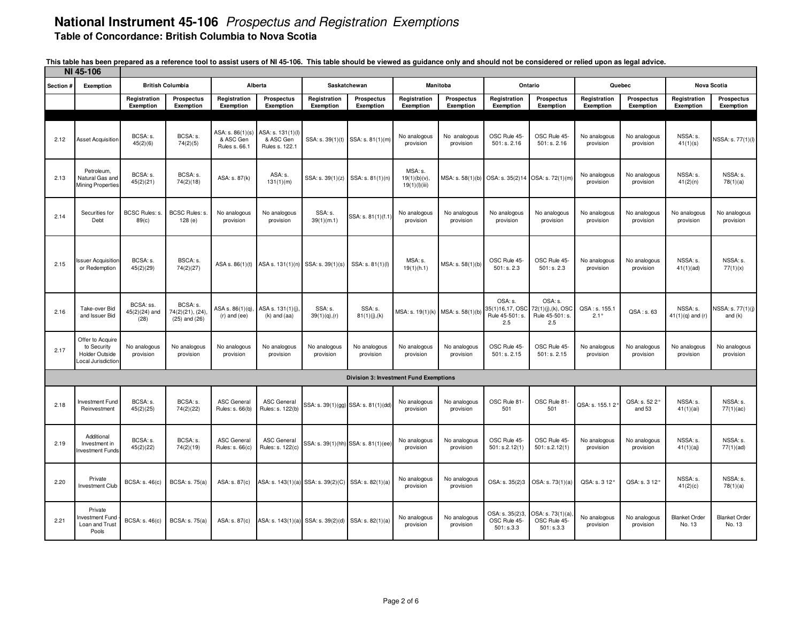|           | NI 45-106                                                               |                                      |                                                  |                                               |                                                  |                                                     |                                               |                                         |                           |                                                      |                                                        |                              |                                |                                |                                |
|-----------|-------------------------------------------------------------------------|--------------------------------------|--------------------------------------------------|-----------------------------------------------|--------------------------------------------------|-----------------------------------------------------|-----------------------------------------------|-----------------------------------------|---------------------------|------------------------------------------------------|--------------------------------------------------------|------------------------------|--------------------------------|--------------------------------|--------------------------------|
| Section i | Exemption                                                               |                                      | <b>British Columbia</b>                          | Alberta                                       |                                                  |                                                     | Saskatchewan                                  |                                         | Manitoba                  |                                                      | Ontario                                                |                              | Quebec                         | <b>Nova Scotia</b>             |                                |
|           |                                                                         | Registration<br>Exemption            | <b>Prospectus</b><br>Exemption                   | Registration<br>Exemption                     | <b>Prospectus</b><br>Exemption                   | Registration<br>Exemption                           | Prospectus<br>Exemption                       | Registration<br>Exemption               | Prospectus<br>Exemption   | Registration<br>Exemption                            | Prospectus<br>Exemption                                | Registration<br>Exemption    | Prospectus<br><b>Exemption</b> | Registration<br>Exemption      | <b>Prospectus</b><br>Exemption |
|           |                                                                         |                                      |                                                  |                                               |                                                  |                                                     |                                               |                                         |                           |                                                      |                                                        |                              |                                |                                |                                |
| 2.12      | <b>Asset Acquisition</b>                                                | BCSA: s.<br>45(2)(6)                 | BCSA: s.<br>74(2)(5)                             | ASA: s. 86(1)(s<br>& ASC Gen<br>Rules s. 66.1 | ASA: s. 131(1)(l)<br>& ASC Gen<br>Rules s. 122.1 | SSA: s. 39(1)(t)                                    | SSA: s. 81(1)(m)                              | No analogous<br>provision               | No analogous<br>provision | OSC Rule 45-<br>501: s. 2.16                         | OSC Rule 45-<br>501: s. 2.16                           | No analogous<br>provision    | No analogous<br>provision      | NSSA: s.<br>41(1)(s)           | NSSA: s. 77(1)(l)              |
| 2.13      | Petroleum,<br>Natural Gas and<br>Mining Properties                      | BCSA: s.<br>45(2)(21)                | BCSA: s.<br>74(2)(18)                            | ASA: s. 87(k)                                 | ASA: s.<br>131(1)(m)                             |                                                     | SSA: s. 39(1)(z) SSA: s. 81(1)(n)             | MSA: s.<br>19(1)(b)(v)<br>19(1)(1)(iii) | MSA: s. 58(1)(b)          | OSA: s. 35(2)14 OSA: s. 72(1)(m)                     |                                                        | No analogous<br>provision    | No analogous<br>provision      | NSSA: s.<br>41(2)(n)           | NSSA: s.<br>78(1)(a)           |
| 2.14      | Securities for<br>Debt                                                  | <b>BCSC Rules: s</b><br>89(c)        | BCSC Rules: s.<br>128(e)                         | No analogous<br>provision                     | No analogous<br>provision                        | SSA: s.<br>39(1)(m.1)                               | SSA: s. 81(1)(f.1                             | No analogous<br>provision               | No analogous<br>provision | No analogous<br>provision                            | No analogous<br>provision                              | No analogous<br>provision    | No analogous<br>provision      | No analogous<br>provision      | No analogous<br>provision      |
| 2.15      | ssuer Acquisition<br>or Redemption                                      | BCSA: s.<br>45(2)(29)                | BSCA: s.<br>74(2)(27)                            | ASA s. 86(1)(t)                               |                                                  | ASA s. 131(1)(n) SSA: s. 39(1)(s)                   | SSA: s. 81(1)(l)                              | MSA: s.<br>19(1)(h.1)                   | MSA: s. 58(1)(b)          | OSC Rule 45-<br>501: s. 2.3                          | OSC Rule 45-<br>501: s. 2.3                            | No analogous<br>provision    | No analogous<br>provision      | NSSA: s.<br>41(1)(ad)          | NSSA: s.<br>77(1)(x)           |
| 2.16      | Take-over Bid<br>and Issuer Bid                                         | BCSA: ss.<br>$45(2)(24)$ and<br>(28) | BCSA: s.<br>74(2)(21), (24)<br>$(25)$ and $(26)$ | ASA s. 86(1)(q)<br>$(r)$ and $(ee)$           | ASA s. 131(1)(j)<br>$(k)$ and $(aa)$             | SSA: s.<br>$39(1)(q)$ , (r)                         | SSA: s.<br>81(1)(j),(k)                       | MSA: s. 19(1)(k) MSA: s. 58(1)(b)       |                           | OSA: s.<br>35(1)16,17, OSC<br>Rule 45-501: s.<br>2.5 | OSA: s.<br>72(1)(j),(k), OSC<br>Rule 45-501: s.<br>2.5 | QSA: s. 155.1<br>$2.1^\circ$ | QSA: s. 63                     | NSSA: s.<br>$41(1)(q)$ and (r) | NSSA: s. 77(1)(j)<br>and $(k)$ |
| 2.17      | Offer to Acquire<br>to Security<br>Holder Outside<br>cocal Jurisdiction | No analogous<br>provision            | No analogous<br>provision                        | No analogous<br>provision                     | No analogous<br>provision                        | No analogous<br>provision                           | No analogous<br>provision                     | No analogous<br>provision               | No analogous<br>provision | OSC Rule 45<br>501: s. 2.15                          | OSC Rule 45-<br>501: s. 2.15                           | No analogous<br>provision    | No analogous<br>provision      | No analogous<br>provision      | No analogous<br>provision      |
|           |                                                                         |                                      |                                                  |                                               |                                                  |                                                     | <b>Division 3: Investment Fund Exemptions</b> |                                         |                           |                                                      |                                                        |                              |                                |                                |                                |
| 2.18      | Investment Fund<br>Reinvestment                                         | BCSA: s.<br>45(2)(25)                | BCSA: s.<br>74(2)(22)                            | <b>ASC General</b><br>Rules: s. 66(b)         | <b>ASC General</b><br>Rules: s. 122(b)           |                                                     | SSA: s. 39(1)(gg) SSA: s. 81(1)(dd)           | No analogous<br>provision               | No analogous<br>provision | OSC Rule 81-<br>501                                  | OSC Rule 81<br>501                                     | QSA: s. 155.12               | QSA: s. 52 2°<br>and 53        | NSSA: s.<br>41(1)(ai)          | NSSA: s.<br>77(1)(ac)          |
| 2.19      | Additional<br>Investment in<br><b>nvestment Funds</b>                   | BCSA: s.<br>45(2)(22)                | BCSA: s.<br>74(2)(19)                            | <b>ASC General</b><br>Rules: s. 66(c)         | <b>ASC General</b><br>Rules: s. 122(c)           |                                                     | SSA: s. 39(1)(hh) SSA: s. 81(1)(ee            | No analogous<br>provision               | No analogous<br>provision | OSC Rule 45-<br>501: s.2.12(1)                       | OSC Rule 45-<br>501: s.2.12(1)                         | No analogous<br>provision    | No analogous<br>provision      | NSSA: s.<br>41(1)(aj)          | NSSA: s.<br>77(1)(ad)          |
| 2.20      | Private<br><b>Investment Club</b>                                       | <b>BCSA: s. 46(c)</b>                | <b>BCSA: s. 75(a)</b>                            | ASA: s. 87(c)                                 |                                                  | ASA: s. 143(1)(a) SSA: s. 39(2)(C) SSA: s. 82(1)(a) |                                               | No analogous<br>provision               | No analogous<br>provision | OSA: s. 35(2)3                                       | OSA: s. 73(1)(a)                                       | QSA: s. 3 12°                | QSA: s. 3 12°                  | NSSA: s.<br>41(2)(c)           | NSSA: s.<br>78(1)(a)           |
| 2.21      | Private<br>nvestment Fund<br>Loan and Trust<br>Pools                    | <b>BCSA: s. 46(c)</b>                | BCSA: s. 75(a)                                   | ASA: s. 87(c)                                 |                                                  | ASA: s. 143(1)(a) SSA: s. 39(2)(d) SSA: s. 82(1)(a) |                                               | No analogous<br>provision               | No analogous<br>provision | OSA: s. 35(2)3<br>OSC Rule 45-<br>501: s.3.3         | OSA: s. 73(1)(a)<br>OSC Rule 45-<br>501: s.3.3         | No analogous<br>provision    | No analogous<br>provision      | <b>Blanket Order</b><br>No. 13 | <b>Blanket Order</b><br>No. 13 |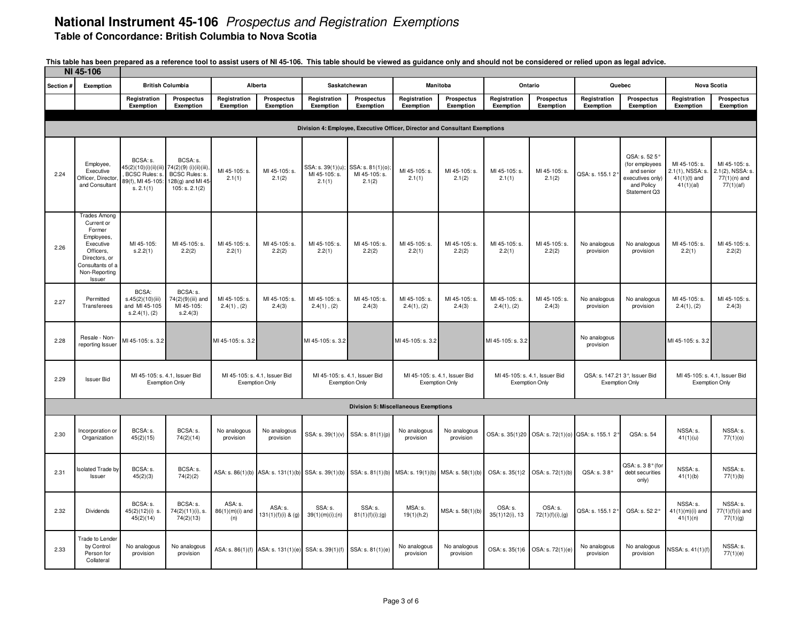| NI 45-106 |                                                                                                                                                    |                                                                                                            |                                                                  |                                                        |                                    |                                                               |                                |                                                        |                                |                               |                                                  |                                                        |                                                                                                 |                                                                  |                                                                  |
|-----------|----------------------------------------------------------------------------------------------------------------------------------------------------|------------------------------------------------------------------------------------------------------------|------------------------------------------------------------------|--------------------------------------------------------|------------------------------------|---------------------------------------------------------------|--------------------------------|--------------------------------------------------------|--------------------------------|-------------------------------|--------------------------------------------------|--------------------------------------------------------|-------------------------------------------------------------------------------------------------|------------------------------------------------------------------|------------------------------------------------------------------|
| Section # | Exemption                                                                                                                                          |                                                                                                            | <b>British Columbia</b>                                          |                                                        | Alberta                            | Saskatchewan                                                  |                                | <b>Manitoba</b>                                        |                                | Ontario                       |                                                  |                                                        | Quebec                                                                                          | Nova Scotia                                                      |                                                                  |
|           |                                                                                                                                                    | Registration<br>Exemption                                                                                  | Prospectus<br>Exemption                                          | Registration<br>Exemption                              | Prospectus<br>Exemption            | Registration<br>Exemption                                     | <b>Prospectus</b><br>Exemption | Registration<br>Exemption                              | <b>Prospectus</b><br>Exemption | Registration<br>Exemption     | <b>Prospectus</b><br>Exemption                   | Registration<br>Exemption                              | Prospectus<br>Exemption                                                                         | Registration<br>Exemption                                        | <b>Prospectus</b><br>Exemption                                   |
|           | Division 4: Employee, Executive Officer, Director and Consultant Exemptions                                                                        |                                                                                                            |                                                                  |                                                        |                                    |                                                               |                                |                                                        |                                |                               |                                                  |                                                        |                                                                                                 |                                                                  |                                                                  |
|           |                                                                                                                                                    |                                                                                                            |                                                                  |                                                        |                                    |                                                               |                                |                                                        |                                |                               |                                                  |                                                        |                                                                                                 |                                                                  |                                                                  |
| 2.24      | Employee,<br>Executive<br>Officer, Director<br>and Consultant                                                                                      | BCSA: s.<br>45(2)(10)(i)(ii)(iii) 74(2)(9)(i)(ii)(iii)<br>BCSC Rules: s.<br>89(f), MI 45-105:<br>s. 2.1(1) | BCSA: s.<br>BCSC Rules: s.<br>128(g) and MI 45<br>105: s. 2.1(2) | MI 45-105: s.<br>2.1(1)                                | MI 45-105: s.<br>2.1(2)            | SSA: s. 39(1)(u); SSA: s. 81(1)(0)<br>MI 45-105: s.<br>2.1(1) | MI 45-105: s.<br>2.1(2)        | MI 45-105: s.<br>2.1(1)                                | MI 45-105: s.<br>2.1(2)        | MI 45-105: s.<br>2.1(1)       | MI 45-105: s.<br>2.1(2)                          | QSA: s. 155.1 2                                        | QSA: s. 52 5°<br>(for employees<br>and senior<br>executives only)<br>and Policy<br>Statement Q3 | MI 45-105: s.<br>2.1(1), NSSA: s.<br>$41(1)(t)$ and<br>41(1)(al) | MI 45-105: s.<br>2.1(2), NSSA: s.<br>$77(1)(n)$ and<br>77(1)(af) |
| 2.26      | <b>Trades Among</b><br>Current or<br>Former<br>Employees<br>Executive<br>Officers.<br>Directors, or<br>Consultants of a<br>Non-Reporting<br>Issuer | MI 45-105:<br>S.2.2(1)                                                                                     | MI 45-105: s.<br>2.2(2)                                          | MI 45-105: s.<br>2.2(1)                                | MI 45-105: s.<br>2.2(2)            | MI 45-105: s.<br>2.2(1)                                       | MI 45-105: s.<br>2.2(2)        | MI 45-105: s.<br>2.2(1)                                | MI 45-105: s.<br>2.2(2)        | MI 45-105: s.<br>2.2(1)       | MI 45-105: s.<br>2.2(2)                          | No analogous<br>provision                              | No analogous<br>provision                                                                       | MI 45-105: s.<br>2.2(1)                                          | MI 45-105: s.<br>2.2(2)                                          |
| 2.27      | Permitted<br>Transferees                                                                                                                           | <b>BCSA:</b><br>s.45(2)(10)(iii)<br>and MI 45-105<br>S.2.4(1), (2)                                         | BCSA: s.<br>74(2)(9)(iii) and<br>MI 45-105:<br>S.2.4(3)          | MI 45-105: s.<br>$2.4(1)$ , $(2)$                      | MI 45-105: s.<br>2.4(3)            | MI 45-105: s.<br>$2.4(1)$ , $(2)$                             | MI 45-105: s.<br>2.4(3)        | MI 45-105: s.<br>2.4(1), (2)                           | MI 45-105: s.<br>2.4(3)        | MI 45-105: s.<br>2.4(1), (2)  | MI 45-105: s.<br>2.4(3)                          | No analogous<br>provision                              | No analogous<br>provision                                                                       | MI 45-105: s.<br>2.4(1), (2)                                     | MI 45-105: s.<br>2.4(3)                                          |
| 2.28      | Resale - Non-<br>reporting Issuer                                                                                                                  | MI 45-105: s. 3.2                                                                                          |                                                                  | MI 45-105: s. 3.2                                      |                                    | MI 45-105: s. 3.2                                             |                                | MI 45-105: s. 3.2                                      |                                | MI 45-105: s. 3.2             |                                                  | No analogous<br>provision                              |                                                                                                 | MI 45-105: s. 3.2                                                |                                                                  |
| 2.29      | <b>Issuer Bid</b>                                                                                                                                  | MI 45-105: s. 4.1, Issuer Bid                                                                              | <b>Exemption Only</b>                                            | MI 45-105: s. 4.1, Issuer Bid<br><b>Exemption Only</b> |                                    | MI 45-105: s. 4.1, Issuer Bid<br><b>Exemption Only</b>        |                                | MI 45-105: s. 4.1, Issuer Bid<br><b>Exemption Only</b> |                                | MI 45-105: s. 4.1, Issuer Bid | <b>Exemption Only</b>                            | QSA: s. 147.21 3°, Issuer Bid<br><b>Exemption Only</b> |                                                                                                 | MI 45-105: s. 4.1, Issuer Bid<br><b>Exemption Only</b>           |                                                                  |
|           |                                                                                                                                                    |                                                                                                            |                                                                  |                                                        |                                    |                                                               |                                | <b>Division 5: Miscellaneous Exemptions</b>            |                                |                               |                                                  |                                                        |                                                                                                 |                                                                  |                                                                  |
| 2.30      | Incorporation or<br>Organization                                                                                                                   | BCSA: s.<br>45(2)(15)                                                                                      | BCSA: s.<br>74(2)(14)                                            | No analogous<br>provision                              | No analogous<br>provision          | SSA: s. 39(1)(v)                                              | SSA: s. 81(1)(p)               | No analogous<br>provision                              | No analogous<br>provision      |                               | OSA: s. 35(1)20 OSA: s. 72(1)(0) QSA: s. 155.1 2 |                                                        | QSA: s. 54                                                                                      | NSSA: s.<br>41(1)(u)                                             | NSSA: s.<br>77(1)(0)                                             |
| 2.31      | <b>Isolated Trade by</b><br>Issuer                                                                                                                 | BCSA: s.<br>45(2)(3)                                                                                       | BCSA: s.<br>74(2)(2)                                             |                                                        | ASA: s. 86(1)(b) ASA: s. 131(1)(b) | SSA: s. 39(1)(b)                                              | SSA: s. 81(1)(b)               | MSA: s. 19(1)(b) MSA: s. 58(1)(b)                      |                                | OSA: s. 35(1)2                | OSA: s. 72(1)(b)                                 | QSA: s. 38°                                            | QSA: s. 38° (for<br>debt securities<br>only)                                                    | NSSA: s.<br>41(1)(b)                                             | NSSA: s.<br>77(1)(b)                                             |
| 2.32      | Dividends                                                                                                                                          | BCSA: s.<br>45(2)(12)(i) s.<br>45(2)(14)                                                                   | BCSA: s.<br>74(2)(11)(i), s.<br>74(2)(13)                        | ASA: s.<br>$86(1)(m)(i)$ and<br>(n)                    | ASA: s.<br>$131(1)(f)(i)$ & (g)    | SSA: s.<br>39(1)(m)(i);(n)                                    | SSA: s.<br>81(1)(f)(i);(g)     | MSA: s.<br>19(1)(h.2)                                  | MSA: s. 58(1)(b)               | OSA: s.<br>$35(1)12(i)$ , 13  | OSA: s.<br>72(1)(f)(i),(g)                       | QSA: s. 155.1 2°                                       | QSA: s. 52 2°                                                                                   | NSSA: s.<br>$41(1)(m)(i)$ and<br>41(1)(n)                        | NSSA: s.<br>77(1)(f)(i) and<br>77(1)(g)                          |
| 2.33      | <b>Trade to Lender</b><br>by Control<br>Person for<br>Collateral                                                                                   | No analogous<br>provision                                                                                  | No analogous<br>provision                                        |                                                        | ASA: s. 86(1)(f) ASA: s. 131(1)(e) | SSA: s. 39(1)(f)                                              | SSA: s. 81(1)(e)               | No analogous<br>provision                              | No analogous<br>provision      |                               | OSA: s. 35(1)6 OSA: s. 72(1)(e)                  | No analogous<br>provision                              | No analogous<br>provision                                                                       | VSSA: s. 41(1)(f)                                                | NSSA: s.<br>77(1)(e)                                             |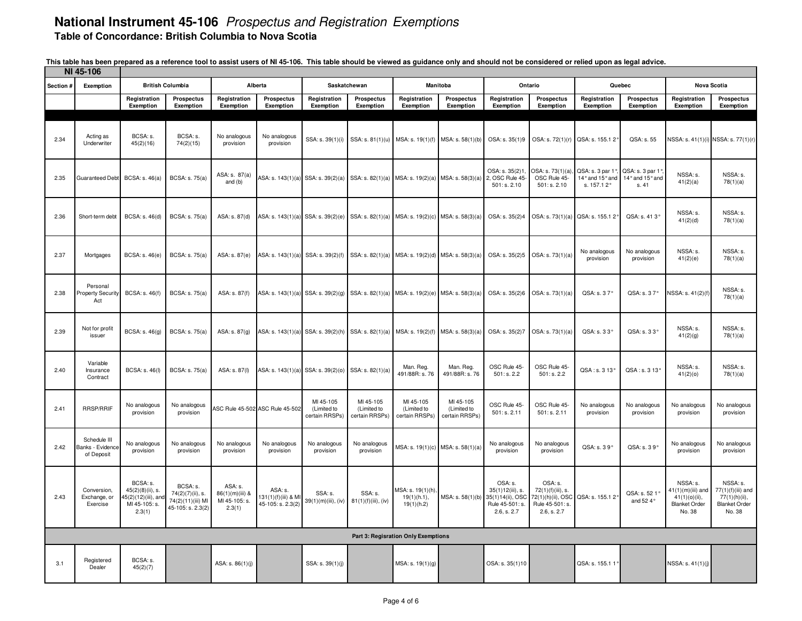| NI 45-106                           |                                                |                                                                                   |                                                                        |                                                       |                                                     |                                                                                       |                                            |                                               |                                                                                       |                                                               |                                                                                                                       |                                                    |                                             |                                                                                      |                                                                                    |
|-------------------------------------|------------------------------------------------|-----------------------------------------------------------------------------------|------------------------------------------------------------------------|-------------------------------------------------------|-----------------------------------------------------|---------------------------------------------------------------------------------------|--------------------------------------------|-----------------------------------------------|---------------------------------------------------------------------------------------|---------------------------------------------------------------|-----------------------------------------------------------------------------------------------------------------------|----------------------------------------------------|---------------------------------------------|--------------------------------------------------------------------------------------|------------------------------------------------------------------------------------|
| Section #                           | Exemption                                      |                                                                                   | <b>British Columbia</b>                                                |                                                       | Alberta                                             |                                                                                       | Saskatchewan                               |                                               | Manitoba                                                                              |                                                               | Ontario                                                                                                               |                                                    | Quebec                                      |                                                                                      | Nova Scotia                                                                        |
|                                     |                                                | Registration<br>Exemption                                                         | Prospectus<br>Exemption                                                | Registration<br>Exemption                             | <b>Prospectus</b><br>Exemption                      | Registration<br>Exemption                                                             | Prospectus<br>Exemption                    | Registration<br>Exemption                     | Prospectus<br>Exemption                                                               | Registration<br>Exemption                                     | Prospectus<br>Exemption                                                                                               | Registration<br>Exemption                          | Prospectus<br>Exemption                     | Registration<br>Exemption                                                            | <b>Prospectus</b><br>Exemption                                                     |
|                                     |                                                |                                                                                   |                                                                        |                                                       |                                                     |                                                                                       |                                            |                                               |                                                                                       |                                                               |                                                                                                                       |                                                    |                                             |                                                                                      |                                                                                    |
| 2.34                                | Acting as<br>Underwriter                       | BCSA: s.<br>45(2)(16)                                                             | BCSA: s.<br>74(2)(15)                                                  | No analogous<br>provision                             | No analogous<br>provision                           | SSA: s. 39(1)(i)                                                                      | SSA: s. 81(1)(u)                           | MSA: s. 19(1)(f)                              | MSA: s. 58(1)(b)                                                                      | OSA: s. 35(1)9                                                | OSA: s. 72(1)(r)                                                                                                      | QSA: s. 155.12                                     | QSA: s. 55                                  |                                                                                      | NSSA: s. 41(1)(i) NSSA: s. 77(1)(r)                                                |
| 2.35                                | Guaranteed Debt                                | <b>BCSA: s. 46(a)</b>                                                             | <b>BCSA: s. 75(a)</b>                                                  | ASA: s. 87(a)<br>and (b)                              |                                                     |                                                                                       |                                            |                                               | ASA: s. 143(1)(a) SSA: s. 39(2)(a) SSA: s. 82(1)(a) MSA: s. 19(2)(a) MSA: s. 58(3)(a) | OSA: s. 35(2)1.<br>2, OSC Rule 45-<br>501: s. 2.10            | OSA: s. 73(1)(a),<br>OSC Rule 45-<br>501: s. 2.10                                                                     | QSA: s. 3 par 1°.<br>14° and 15° and<br>s. 157.12° | QSA: s. 3 par 1°<br>14° and 15° and<br>s.41 | NSSA: s.<br>41(2)(a)                                                                 | NSSA: s.<br>78(1)(a)                                                               |
| 2.36                                | Short-term debt                                | <b>BCSA: s. 46(d)</b>                                                             | BCSA: s. 75(a)                                                         | ASA: s. 87(d)                                         |                                                     | ASA: s. 143(1)(a) SSA: s. 39(2)(e) SSA: s. 82(1)(a) MSA: s. 19(2)(c) MSA: s. 58(3)(a) |                                            |                                               |                                                                                       |                                                               | OSA: s. 35(2)4 OSA: s. 73(1)(a) QSA: s. 155.1 2°                                                                      |                                                    | QSA: s. 413°                                | NSSA: s.<br>41(2)(d)                                                                 | NSSA: s.<br>78(1)(a)                                                               |
| 2.37                                | Mortgages                                      | BCSA: s. 46(e)                                                                    | <b>BCSA: s. 75(a)</b>                                                  | ASA: s. 87(e)                                         |                                                     | ASA: s. 143(1)(a) SSA: s. 39(2)(f) SSA: s. 82(1)(a) MSA: s. 19(2)(d) MSA: s. 58(3)(a) |                                            |                                               |                                                                                       |                                                               | OSA: s. 35(2)5 OSA: s. 73(1)(a)                                                                                       | No analogous<br>provision                          | No analogous<br>provision                   | NSSA: s.<br>41(2)(e)                                                                 | NSSA: s.<br>78(1)(a)                                                               |
| 2.38                                | Personal<br><b>Property Security</b><br>Act    | BCSA: s. 46(f)                                                                    | <b>BCSA: s. 75(a)</b>                                                  | ASA: s. 87(f)                                         |                                                     | ASA: s. 143(1)(a) SSA: s. 39(2)(g) SSA: s. 82(1)(a) MSA: s. 19(2)(e) MSA: s. 58(3)(a) |                                            |                                               |                                                                                       |                                                               | OSA: s. 35(2)6 OSA: s. 73(1)(a)                                                                                       | QSA: s. 37°                                        | QSA: s. 37°                                 | VSSA: s. 41(2)(f)                                                                    | NSSA: s.<br>78(1)(a)                                                               |
| 2.39                                | Not for profit<br>issuer                       | BCSA: s. 46(g)                                                                    | <b>BCSA: s. 75(a)</b>                                                  | ASA: s. 87(g)                                         |                                                     | ASA: s. 143(1)(a) SSA: s. 39(2)(h) SSA: s. 82(1)(a)                                   |                                            | MSA: s. 19(2)(f) MSA: s. 58(3)(a)             |                                                                                       | OSA: s. 35(2)7                                                | OSA: s. 73(1)(a)                                                                                                      | QSA: s. 33°                                        | QSA: s. 33°                                 | NSSA: s.<br>41(2)(g)                                                                 | NSSA: s.<br>78(1)(a)                                                               |
| 2.40                                | Variable<br>Insurance<br>Contract              | <b>BCSA: s. 46(l)</b>                                                             | <b>BCSA: s. 75(a)</b>                                                  | ASA: s. 87(l)                                         |                                                     | ASA: s. 143(1)(a) SSA: s. 39(2)(0)                                                    | SSA: s. 82(1)(a)                           | Man. Reg.<br>491/88R: s. 76                   | Man. Reg.<br>491/88R: s. 76                                                           | OSC Rule 45-<br>501: s. 2.2                                   | OSC Rule 45-<br>501: s. 2.2                                                                                           | QSA: s. 3 13°                                      | QSA: s. 3 13°                               | NSSA: s.<br>41(2)(0)                                                                 | NSSA: s.<br>78(1)(a)                                                               |
| 2.41                                | <b>RRSP/RRIF</b>                               | No analogous<br>provision                                                         | No analogous<br>provision                                              |                                                       | ASC Rule 45-502 ASC Rule 45-502                     | MI 45-105<br>(Limited to<br>certain RRSPs)                                            | MI 45-105<br>(Limited to<br>certain RRSPs) | MI 45-105<br>(Limited to<br>certain RRSPs)    | MI 45-105<br>(Limited to<br>certain RRSPs)                                            | OSC Rule 45-<br>501: s. 2.11                                  | OSC Rule 45-<br>501: s. 2.11                                                                                          | No analogous<br>provision                          | No analogous<br>provision                   | No analogous<br>provision                                                            | No analogous<br>provision                                                          |
| 2.42                                | Schedule III<br>Banks - Evidence<br>of Deposit | No analogous<br>provision                                                         | No analogous<br>provision                                              | No analogous<br>provision                             | No analogous<br>provision                           | No analogous<br>provision                                                             | No analogous<br>provision                  |                                               | MSA: s. 19(1)(c) MSA: s. 58(1)(a)                                                     | No analogous<br>provision                                     | No analogous<br>provision                                                                                             | QSA: s. 39°                                        | QSA: s. 39°                                 | No analogous<br>provision                                                            | No analogous<br>provision                                                          |
| 2.43                                | <b>Conversion</b><br>Exchange, or<br>Exercise  | BCSA: s.<br>$45(2)(8)(ii)$ , s.<br>45(2)(12)(iii), and<br>MI 45-105: s.<br>2.3(1) | BCSA: s.<br>74(2)(7)(ii), s.<br>74(2)(11)(iii) MI<br>45-105: s. 2.3(2) | ASA: s.<br>86(1)(m)(iii) &<br>MI 45-105: s.<br>2.3(1) | ASA: s.<br>131(1)(f)(iii) & MI<br>45-105: s. 2.3(2) | SSA: s.<br>39(1)(m)(iii), (iv)                                                        | SSA: s.<br>81(1)(f)(iii), (iv)             | MSA: s. 19(1)(h)<br>19(1)(h.1),<br>19(1)(h.2) | MSA: s. 58(1)(b)                                                                      | OSA: s.<br>35(1)12(iii), s.<br>Rule 45-501: s.<br>2.6, s. 2.7 | OSA: s.<br>72(1)(f)(iii), s.<br>35(1)14(ii), OSC 72(1)(h)(ii), OSC QSA: s. 155.1 2°<br>Rule 45-501: s.<br>2.6, s. 2.7 |                                                    | QSA: s. 52 1<br>and 52 4 $^{\circ}$         | NSSA: s.<br>$1(1)(m)(iii)$ and<br>$41(1)(0)(ii)$ ,<br><b>Blanket Order</b><br>No. 38 | NSSA: s.<br>$77(1)(f)(iii)$ and<br>77(1)(h)(ii),<br><b>Blanket Order</b><br>No. 38 |
| Part 3: Regisration Only Exemptions |                                                |                                                                                   |                                                                        |                                                       |                                                     |                                                                                       |                                            |                                               |                                                                                       |                                                               |                                                                                                                       |                                                    |                                             |                                                                                      |                                                                                    |
| 3.1                                 | Registered<br>Dealer                           | BCSA: s.<br>45(2)(7)                                                              |                                                                        | ASA: s. 86(1)(j)                                      |                                                     | SSA: s. 39(1)(j)                                                                      |                                            | MSA: s. 19(1)(g)                              |                                                                                       | OSA: s. 35(1)10                                               |                                                                                                                       | QSA: s. 155.1 11                                   |                                             | NSSA: s. 41(1)(j)                                                                    |                                                                                    |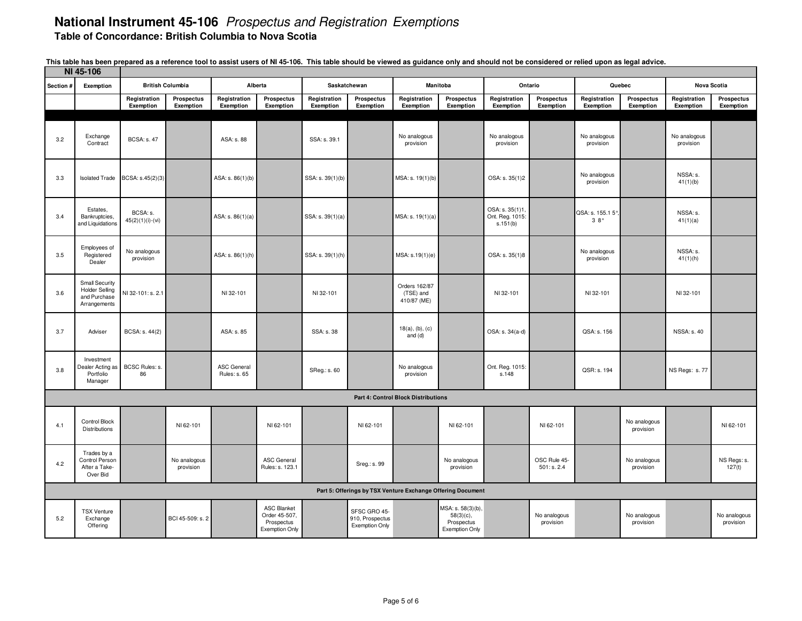| NI 45-106 |                                                                                |                                |                                |                                    |                                                                            |                           |                                                          |                                                             |                                                                          |                                                |                             |                           |                                |                           |                           |
|-----------|--------------------------------------------------------------------------------|--------------------------------|--------------------------------|------------------------------------|----------------------------------------------------------------------------|---------------------------|----------------------------------------------------------|-------------------------------------------------------------|--------------------------------------------------------------------------|------------------------------------------------|-----------------------------|---------------------------|--------------------------------|---------------------------|---------------------------|
| Section # | Exemption                                                                      |                                | <b>British Columbia</b>        |                                    | Alberta                                                                    |                           | Saskatchewan                                             |                                                             | Manitoba                                                                 |                                                | Ontario                     |                           | Quebec                         |                           | Nova Scotia               |
|           |                                                                                | Registration<br>Exemption      | <b>Prospectus</b><br>Exemption | Registration<br>Exemption          | Prospectus<br>Exemption                                                    | Registration<br>Exemption | Prospectus<br>Exemption                                  | Registration<br>Exemption                                   | Prospectus<br>Exemption                                                  | Registration<br>Exemption                      | Prospectus<br>Exemption     | Registration<br>Exemption | <b>Prospectus</b><br>Exemption | Registration<br>Exemption | Prospectus<br>Exemption   |
|           |                                                                                |                                |                                |                                    |                                                                            |                           |                                                          |                                                             |                                                                          |                                                |                             |                           |                                |                           |                           |
| 3.2       | Exchange<br>Contract                                                           | <b>BCSA: s. 47</b>             |                                | ASA: s. 88                         |                                                                            | SSA: s. 39.1              |                                                          | No analogous<br>provision                                   |                                                                          | No analogous<br>provision                      |                             | No analogous<br>provision |                                | No analogous<br>provision |                           |
| 3.3       | <b>Isolated Trade</b>                                                          | BCSA: s.45(2)(3)               |                                | ASA: s. 86(1)(b)                   |                                                                            | SSA: s. 39(1)(b)          |                                                          | MSA: s. 19(1)(b)                                            |                                                                          | OSA: s. 35(1)2                                 |                             | No analogous<br>provision |                                | NSSA: s.<br>41(1)(b)      |                           |
| 3.4       | Estates.<br>Bankruptcies,<br>and Liquidations                                  | BCSA: s.<br>$45(2)(1)(i)-(vi)$ |                                | ASA: s. 86(1)(a)                   |                                                                            | SSA: s. 39(1)(a)          |                                                          | MSA: s. 19(1)(a)                                            |                                                                          | OSA: s. 35(1)1,<br>Ont. Reg. 1015:<br>s.151(b) |                             | QSA: s. 155.1 5°,<br>38°  |                                | NSSA: s.<br>41(1)(a)      |                           |
| 3.5       | Employees of<br>Registered<br>Dealer                                           | No analogous<br>provision      |                                | ASA: s. 86(1)(h)                   |                                                                            | SSA: s. 39(1)(h)          |                                                          | MSA: s.19(1)(e)                                             |                                                                          | OSA: s. 35(1)8                                 |                             | No analogous<br>provision |                                | NSSA: s.<br>41(1)(h)      |                           |
| 3.6       | <b>Small Security</b><br><b>Holder Selling</b><br>and Purchase<br>Arrangements | NI 32-101: s. 2.1              |                                | NI 32-101                          |                                                                            | NI 32-101                 |                                                          | Orders 162/87<br>(TSE) and<br>410/87 (ME)                   |                                                                          | NI 32-101                                      |                             | NI 32-101                 |                                | NI 32-101                 |                           |
| 3.7       | Adviser                                                                        | BCSA: s. 44(2)                 |                                | ASA: s. 85                         |                                                                            | SSA: s. 38                |                                                          | $18(a)$ , (b), (c)<br>and (d)                               |                                                                          | OSA: s. 34(a-d)                                |                             | QSA: s. 156               |                                | <b>NSSA: s. 40</b>        |                           |
| 3.8       | Investment<br>Dealer Acting as<br>Portfolio<br>Manager                         | BCSC Rules: s.<br>86           |                                | <b>ASC General</b><br>Rules: s. 65 |                                                                            | SReg.: s. 60              |                                                          | No analogous<br>provision                                   |                                                                          | Ont. Reg. 1015:<br>s.148                       |                             | QSR: s. 194               |                                | NS Regs: s.77             |                           |
|           |                                                                                |                                |                                |                                    |                                                                            |                           |                                                          | <b>Part 4: Control Block Distributions</b>                  |                                                                          |                                                |                             |                           |                                |                           |                           |
| 4.1       | <b>Control Block</b><br><b>Distributions</b>                                   |                                | NI 62-101                      |                                    | NI 62-101                                                                  |                           | NI 62-101                                                |                                                             | NI 62-101                                                                |                                                | NI 62-101                   |                           | No analogous<br>provision      |                           | NI 62-101                 |
| 4.2       | Trades by a<br>Control Person<br>After a Take-<br>Over Bid                     |                                | No analogous<br>provision      |                                    | <b>ASC General</b><br>Rules: s. 123.1                                      |                           | Sreg.: s. 99                                             |                                                             | No analogous<br>provision                                                |                                                | OSC Rule 45-<br>501: s. 2.4 |                           | No analogous<br>provision      |                           | NS Regs: s.<br>127(t)     |
|           |                                                                                |                                |                                |                                    |                                                                            |                           |                                                          | Part 5: Offerings by TSX Venture Exchange Offering Document |                                                                          |                                                |                             |                           |                                |                           |                           |
| 5.2       | <b>TSX Venture</b><br>Exchange<br>Offering                                     |                                | BCI 45-509: s. 2               |                                    | <b>ASC Blanket</b><br>Order 45-507,<br>Prospectus<br><b>Exemption Only</b> |                           | SFSC GRO 45-<br>910, Prospectus<br><b>Exemption Only</b> |                                                             | MSA: s. 58(3)(b),<br>$58(3)(c)$ ,<br>Prospectus<br><b>Exemption Only</b> |                                                | No analogous<br>provision   |                           | No analogous<br>provision      |                           | No analogous<br>provision |